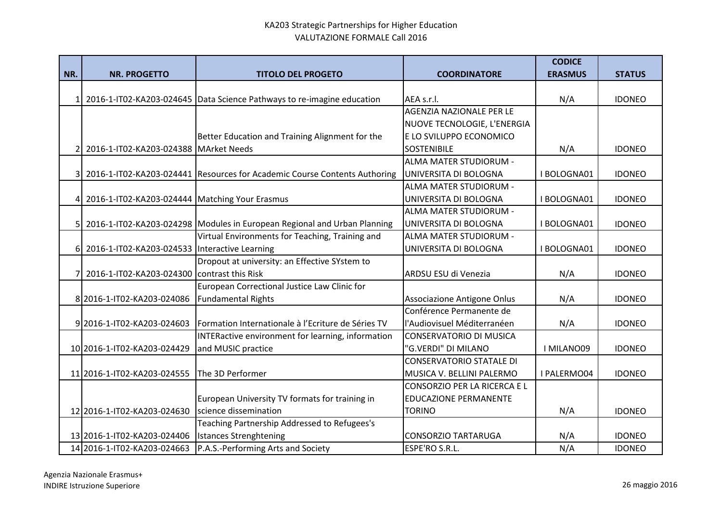|                |                                                  |                                                                            |                                 | <b>CODICE</b>  |               |
|----------------|--------------------------------------------------|----------------------------------------------------------------------------|---------------------------------|----------------|---------------|
| NR.            | <b>NR. PROGETTO</b>                              | <b>TITOLO DEL PROGETO</b>                                                  | <b>COORDINATORE</b>             | <b>ERASMUS</b> | <b>STATUS</b> |
|                |                                                  |                                                                            |                                 |                |               |
| 11             |                                                  | 2016-1-IT02-KA203-024645   Data Science Pathways to re-imagine education   | AEA s.r.l.                      | N/A            | <b>IDONEO</b> |
|                |                                                  |                                                                            | AGENZIA NAZIONALE PER LE        |                |               |
|                |                                                  |                                                                            | NUOVE TECNOLOGIE, L'ENERGIA     |                |               |
|                |                                                  | Better Education and Training Alignment for the                            | E LO SVILUPPO ECONOMICO         |                |               |
| 21             | 2016-1-IT02-KA203-024388 MArket Needs            |                                                                            | <b>SOSTENIBILE</b>              | N/A            | <b>IDONEO</b> |
|                |                                                  |                                                                            | ALMA MATER STUDIORUM -          |                |               |
|                |                                                  | 2016-1-IT02-KA203-024441 Resources for Academic Course Contents Authoring  | UNIVERSITA DI BOLOGNA           | I BOLOGNA01    | <b>IDONEO</b> |
|                |                                                  |                                                                            | ALMA MATER STUDIORUM -          |                |               |
| $\overline{4}$ | 2016-1-IT02-KA203-024444   Matching Your Erasmus |                                                                            | UNIVERSITA DI BOLOGNA           | I BOLOGNA01    | <b>IDONEO</b> |
|                |                                                  |                                                                            | ALMA MATER STUDIORUM -          |                |               |
| 51             |                                                  | 2016-1-IT02-KA203-024298   Modules in European Regional and Urban Planning | UNIVERSITA DI BOLOGNA           | I BOLOGNA01    | <b>IDONEO</b> |
|                |                                                  | Virtual Environments for Teaching, Training and                            | ALMA MATER STUDIORUM -          |                |               |
|                | 6 2016-1-IT02-KA203-024533 Interactive Learning  |                                                                            | UNIVERSITA DI BOLOGNA           | I BOLOGNA01    | <b>IDONEO</b> |
|                |                                                  | Dropout at university: an Effective SYstem to                              |                                 |                |               |
| 71             | 2016-1-IT02-KA203-024300 contrast this Risk      |                                                                            | ARDSU ESU di Venezia            | N/A            | <b>IDONEO</b> |
|                |                                                  | European Correctional Justice Law Clinic for                               |                                 |                |               |
|                | 8 2016-1-IT02-KA203-024086                       | <b>Fundamental Rights</b>                                                  | Associazione Antigone Onlus     | N/A            | <b>IDONEO</b> |
|                |                                                  |                                                                            | Conférence Permanente de        |                |               |
|                | 9 2016-1-IT02-KA203-024603                       | Formation Internationale à l'Ecriture de Séries TV                         | l'Audiovisuel Méditerranéen     | N/A            | <b>IDONEO</b> |
|                |                                                  | INTERactive environment for learning, information                          | <b>CONSERVATORIO DI MUSICA</b>  |                |               |
|                | 10 2016-1-IT02-KA203-024429                      | and MUSIC practice                                                         | "G.VERDI" DI MILANO             | I MILANO09     | <b>IDONEO</b> |
|                |                                                  |                                                                            | <b>CONSERVATORIO STATALE DI</b> |                |               |
|                | 11 2016-1-IT02-KA203-024555                      | The 3D Performer                                                           | MUSICA V. BELLINI PALERMO       | I PALERMO04    | <b>IDONEO</b> |
|                |                                                  |                                                                            | CONSORZIO PER LA RICERCA E L    |                |               |
|                |                                                  | European University TV formats for training in                             | <b>EDUCAZIONE PERMANENTE</b>    |                |               |
|                | 12 2016-1-IT02-KA203-024630                      | science dissemination                                                      | <b>TORINO</b>                   | N/A            | <b>IDONEO</b> |
|                |                                                  | Teaching Partnership Addressed to Refugees's                               |                                 |                |               |
|                | 13 2016-1-IT02-KA203-024406                      | <b>Istances Strenghtening</b>                                              | <b>CONSORZIO TARTARUGA</b>      | N/A            | <b>IDONEO</b> |
|                | 14 2016-1-IT02-KA203-024663                      | P.A.S.-Performing Arts and Society                                         | ESPE'RO S.R.L.                  | N/A            | <b>IDONEO</b> |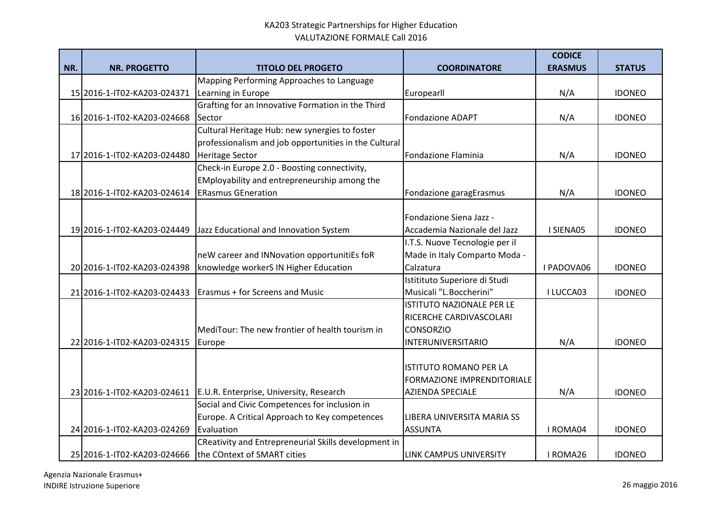|     |                             |                                                       |                                | <b>CODICE</b>  |               |
|-----|-----------------------------|-------------------------------------------------------|--------------------------------|----------------|---------------|
| NR. | <b>NR. PROGETTO</b>         | <b>TITOLO DEL PROGETO</b>                             | <b>COORDINATORE</b>            | <b>ERASMUS</b> | <b>STATUS</b> |
|     |                             | Mapping Performing Approaches to Language             |                                |                |               |
|     | 15 2016-1-IT02-KA203-024371 | Learning in Europe                                    | Europearll                     | N/A            | <b>IDONEO</b> |
|     |                             | Grafting for an Innovative Formation in the Third     |                                |                |               |
|     | 16 2016-1-IT02-KA203-024668 | Sector                                                | <b>Fondazione ADAPT</b>        | N/A            | <b>IDONEO</b> |
|     |                             | Cultural Heritage Hub: new synergies to foster        |                                |                |               |
|     |                             | professionalism and job opportunities in the Cultural |                                |                |               |
|     | 17 2016-1-IT02-KA203-024480 | <b>Heritage Sector</b>                                | Fondazione Flaminia            | N/A            | <b>IDONEO</b> |
|     |                             | Check-in Europe 2.0 - Boosting connectivity,          |                                |                |               |
|     |                             | EMployability and entrepreneurship among the          |                                |                |               |
|     | 18 2016-1-IT02-KA203-024614 | <b>ERasmus GEneration</b>                             | Fondazione garagErasmus        | N/A            | <b>IDONEO</b> |
|     |                             |                                                       |                                |                |               |
|     |                             |                                                       | Fondazione Siena Jazz -        |                |               |
|     | 19 2016-1-IT02-KA203-024449 | Jazz Educational and Innovation System                | Accademia Nazionale del Jazz   | I SIENA05      | <b>IDONEO</b> |
|     |                             |                                                       | I.T.S. Nuove Tecnologie per il |                |               |
|     |                             | neW career and INNovation opportunitiEs foR           | Made in Italy Comparto Moda -  |                |               |
|     | 20 2016-1-IT02-KA203-024398 | knowledge workerS IN Higher Education                 | Calzatura                      | I PADOVA06     | <b>IDONEO</b> |
|     |                             |                                                       | Istitituto Superiore di Studi  |                |               |
|     | 21 2016-1-IT02-KA203-024433 | <b>Erasmus + for Screens and Music</b>                | Musicali "L.Boccherini"        | I LUCCA03      | <b>IDONEO</b> |
|     |                             |                                                       | ISTITUTO NAZIONALE PER LE      |                |               |
|     |                             |                                                       | RICERCHE CARDIVASCOLARI        |                |               |
|     |                             | MediTour: The new frontier of health tourism in       | <b>CONSORZIO</b>               |                |               |
|     | 22 2016-1-IT02-KA203-024315 | Europe                                                | <b>INTERUNIVERSITARIO</b>      | N/A            | <b>IDONEO</b> |
|     |                             |                                                       |                                |                |               |
|     |                             |                                                       | <b>ISTITUTO ROMANO PER LA</b>  |                |               |
|     |                             |                                                       | FORMAZIONE IMPRENDITORIALE     |                |               |
|     | 23 2016-1-IT02-KA203-024611 | E.U.R. Enterprise, University, Research               | AZIENDA SPECIALE               | N/A            | <b>IDONEO</b> |
|     |                             | Social and Civic Competences for inclusion in         |                                |                |               |
|     |                             | Europe. A Critical Approach to Key competences        | LIBERA UNIVERSITA MARIA SS     |                |               |
|     | 24 2016-1-IT02-KA203-024269 | Evaluation                                            | <b>ASSUNTA</b>                 | I ROMA04       | <b>IDONEO</b> |
|     |                             | CReativity and Entrepreneurial Skills development in  |                                |                |               |
|     | 25 2016-1-IT02-KA203-024666 | the COntext of SMART cities                           | LINK CAMPUS UNIVERSITY         | I ROMA26       | <b>IDONEO</b> |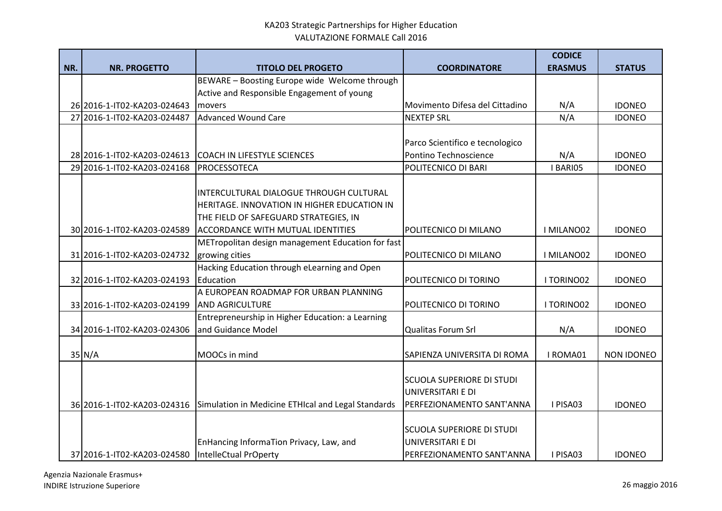|     |                             |                                                    |                                  | <b>CODICE</b>  |                   |
|-----|-----------------------------|----------------------------------------------------|----------------------------------|----------------|-------------------|
| NR. | <b>NR. PROGETTO</b>         | <b>TITOLO DEL PROGETO</b>                          | <b>COORDINATORE</b>              | <b>ERASMUS</b> | <b>STATUS</b>     |
|     |                             | BEWARE - Boosting Europe wide Welcome through      |                                  |                |                   |
|     |                             | Active and Responsible Engagement of young         |                                  |                |                   |
|     | 26 2016-1-IT02-KA203-024643 | movers                                             | Movimento Difesa del Cittadino   | N/A            | <b>IDONEO</b>     |
|     | 27 2016-1-IT02-KA203-024487 | Advanced Wound Care                                | <b>NEXTEP SRL</b>                | N/A            | <b>IDONEO</b>     |
|     |                             |                                                    |                                  |                |                   |
|     |                             |                                                    | Parco Scientifico e tecnologico  |                |                   |
|     | 28 2016-1-IT02-KA203-024613 | COACH IN LIFESTYLE SCIENCES                        | Pontino Technoscience            | N/A            | <b>IDONEO</b>     |
|     | 29 2016-1-IT02-KA203-024168 | PROCESSOTECA                                       | POLITECNICO DI BARI              | I BARIO5       | <b>IDONEO</b>     |
|     |                             |                                                    |                                  |                |                   |
|     |                             | INTERCULTURAL DIALOGUE THROUGH CULTURAL            |                                  |                |                   |
|     |                             | HERITAGE. INNOVATION IN HIGHER EDUCATION IN        |                                  |                |                   |
|     |                             | THE FIELD OF SAFEGUARD STRATEGIES, IN              |                                  |                |                   |
|     | 30 2016-1-IT02-KA203-024589 | <b>ACCORDANCE WITH MUTUAL IDENTITIES</b>           | POLITECNICO DI MILANO            | I MILANO02     | <b>IDONEO</b>     |
|     |                             | METropolitan design management Education for fast  |                                  |                |                   |
|     | 31 2016-1-IT02-KA203-024732 | growing cities                                     | POLITECNICO DI MILANO            | I MILANO02     | <b>IDONEO</b>     |
|     |                             | Hacking Education through eLearning and Open       |                                  |                |                   |
|     | 32 2016-1-IT02-KA203-024193 | Education                                          | POLITECNICO DI TORINO            | I TORINO02     | <b>IDONEO</b>     |
|     |                             | A EUROPEAN ROADMAP FOR URBAN PLANNING              |                                  |                |                   |
|     | 33 2016-1-IT02-KA203-024199 | <b>AND AGRICULTURE</b>                             | POLITECNICO DI TORINO            | I TORINO02     | <b>IDONEO</b>     |
|     |                             | Entrepreneurship in Higher Education: a Learning   |                                  |                |                   |
|     | 34 2016-1-IT02-KA203-024306 | and Guidance Model                                 | Qualitas Forum Srl               | N/A            | <b>IDONEO</b>     |
|     |                             |                                                    |                                  |                |                   |
|     | $35$ N/A                    | MOOCs in mind                                      | SAPIENZA UNIVERSITA DI ROMA      | I ROMA01       | <b>NON IDONEO</b> |
|     |                             |                                                    |                                  |                |                   |
|     |                             |                                                    | <b>SCUOLA SUPERIORE DI STUDI</b> |                |                   |
|     |                             |                                                    | UNIVERSITARI E DI                |                |                   |
|     | 36 2016-1-IT02-KA203-024316 | Simulation in Medicine ETHIcal and Legal Standards | PERFEZIONAMENTO SANT'ANNA        | I PISA03       | <b>IDONEO</b>     |
|     |                             |                                                    |                                  |                |                   |
|     |                             |                                                    | <b>SCUOLA SUPERIORE DI STUDI</b> |                |                   |
|     |                             | EnHancing InformaTion Privacy, Law, and            | UNIVERSITARI E DI                |                |                   |
|     | 37 2016-1-IT02-KA203-024580 | IntelleCtual PrOperty                              | PERFEZIONAMENTO SANT'ANNA        | I PISA03       | <b>IDONEO</b>     |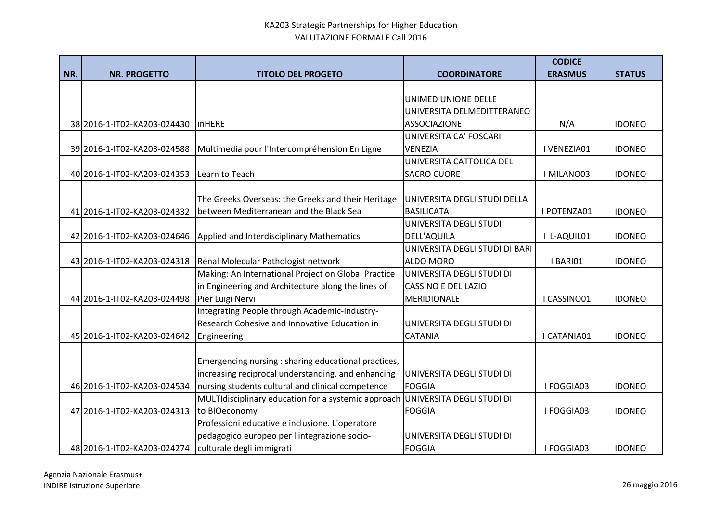|     |                                                       |                                                      |                                | <b>CODICE</b>  |               |
|-----|-------------------------------------------------------|------------------------------------------------------|--------------------------------|----------------|---------------|
| NR. | <b>NR. PROGETTO</b>                                   | <b>TITOLO DEL PROGETO</b>                            | <b>COORDINATORE</b>            | <b>ERASMUS</b> | <b>STATUS</b> |
|     |                                                       |                                                      |                                |                |               |
|     |                                                       |                                                      | UNIMED UNIONE DELLE            |                |               |
|     |                                                       |                                                      | UNIVERSITA DELMEDITTERANEO     |                |               |
|     | 38 2016-1-IT02-KA203-024430                           | <b>linHERE</b>                                       | <b>ASSOCIAZIONE</b>            | N/A            | <b>IDONEO</b> |
|     |                                                       |                                                      | UNIVERSITA CA' FOSCARI         |                |               |
|     | 39 2016-1-IT02-KA203-024588                           | Multimedia pour l'Intercompréhension En Ligne        | <b>VENEZIA</b>                 | I VENEZIA01    | <b>IDONEO</b> |
|     |                                                       |                                                      | UNIVERSITA CATTOLICA DEL       |                |               |
|     | 40 2016-1-IT02-KA203-024353                           | Learn to Teach                                       | <b>SACRO CUORE</b>             | I MILANO03     | <b>IDONEO</b> |
|     |                                                       |                                                      |                                |                |               |
|     |                                                       | The Greeks Overseas: the Greeks and their Heritage   | UNIVERSITA DEGLI STUDI DELLA   |                |               |
|     | 41 2016-1-IT02-KA203-024332                           | between Mediterranean and the Black Sea              | <b>BASILICATA</b>              | I POTENZA01    | <b>IDONEO</b> |
|     |                                                       |                                                      | UNIVERSITA DEGLI STUDI         |                |               |
|     | 42 2016-1-IT02-KA203-024646                           | Applied and Interdisciplinary Mathematics            | <b>DELL'AQUILA</b>             | I L-AQUIL01    | <b>IDONEO</b> |
|     |                                                       |                                                      | UNIVERSITA DEGLI STUDI DI BARI |                |               |
|     | 43 2016-1-IT02-KA203-024318                           | Renal Molecular Pathologist network                  | <b>ALDO MORO</b>               | I BARIO1       | <b>IDONEO</b> |
|     |                                                       | Making: An International Project on Global Practice  | UNIVERSITA DEGLI STUDI DI      |                |               |
|     |                                                       | in Engineering and Architecture along the lines of   | <b>CASSINO E DEL LAZIO</b>     |                |               |
|     | 44 2016-1-IT02-KA203-024498                           | Pier Luigi Nervi                                     | <b>MERIDIONALE</b>             | I CASSINO01    | <b>IDONEO</b> |
|     |                                                       | Integrating People through Academic-Industry-        |                                |                |               |
|     |                                                       | Research Cohesive and Innovative Education in        | UNIVERSITA DEGLI STUDI DI      |                |               |
|     | 45 2016-1-IT02-KA203-024642                           | Engineering                                          | <b>CATANIA</b>                 | I CATANIA01    | <b>IDONEO</b> |
|     |                                                       |                                                      |                                |                |               |
|     |                                                       | Emergencing nursing : sharing educational practices, |                                |                |               |
|     |                                                       | increasing reciprocal understanding, and enhancing   | UNIVERSITA DEGLI STUDI DI      |                |               |
|     | 46 2016-1-IT02-KA203-024534                           | nursing students cultural and clinical competence    | <b>FOGGIA</b>                  | I FOGGIA03     | <b>IDONEO</b> |
|     |                                                       | MULTIdisciplinary education for a systemic approach  | UNIVERSITA DEGLI STUDI DI      |                |               |
|     | 47 2016-1-IT02-KA203-024313                           | to BIOeconomy                                        | <b>FOGGIA</b>                  | I FOGGIA03     | <b>IDONEO</b> |
|     |                                                       | Professioni educative e inclusione. L'operatore      |                                |                |               |
|     |                                                       | pedagogico europeo per l'integrazione socio-         | UNIVERSITA DEGLI STUDI DI      |                |               |
|     | 48 2016-1-IT02-KA203-024274 culturale degli immigrati |                                                      | <b>FOGGIA</b>                  | I FOGGIA03     | <b>IDONEO</b> |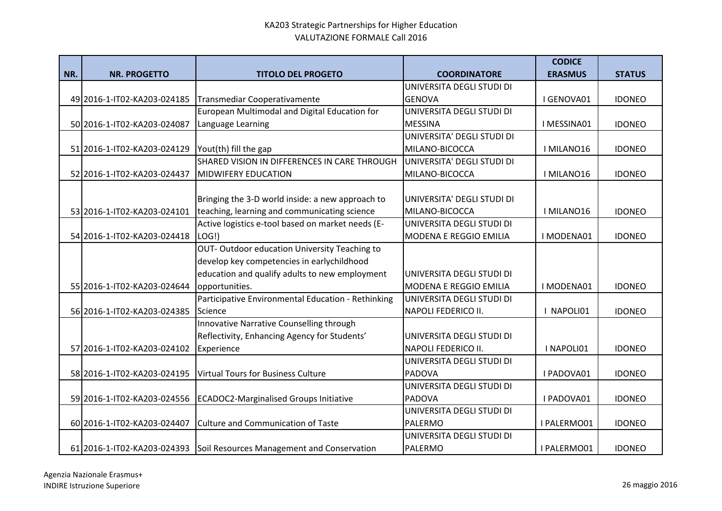|     |                             |                                                    |                            | <b>CODICE</b>  |               |
|-----|-----------------------------|----------------------------------------------------|----------------------------|----------------|---------------|
| NR. | <b>NR. PROGETTO</b>         | <b>TITOLO DEL PROGETO</b>                          | <b>COORDINATORE</b>        | <b>ERASMUS</b> | <b>STATUS</b> |
|     |                             |                                                    | UNIVERSITA DEGLI STUDI DI  |                |               |
|     | 49 2016-1-IT02-KA203-024185 | Transmediar Cooperativamente                       | <b>GENOVA</b>              | I GENOVA01     | <b>IDONEO</b> |
|     |                             | European Multimodal and Digital Education for      | UNIVERSITA DEGLI STUDI DI  |                |               |
|     | 50 2016-1-IT02-KA203-024087 | Language Learning                                  | <b>MESSINA</b>             | I MESSINA01    | <b>IDONEO</b> |
|     |                             |                                                    | UNIVERSITA' DEGLI STUDI DI |                |               |
|     | 51 2016-1-IT02-KA203-024129 | Yout(th) fill the gap                              | MILANO-BICOCCA             | I MILANO16     | <b>IDONEO</b> |
|     |                             | SHARED VISION IN DIFFERENCES IN CARE THROUGH       | UNIVERSITA' DEGLI STUDI DI |                |               |
|     | 52 2016-1-IT02-KA203-024437 | <b>MIDWIFERY EDUCATION</b>                         | MILANO-BICOCCA             | I MILANO16     | <b>IDONEO</b> |
|     |                             |                                                    |                            |                |               |
|     |                             | Bringing the 3-D world inside: a new approach to   | UNIVERSITA' DEGLI STUDI DI |                |               |
|     | 53 2016-1-IT02-KA203-024101 | teaching, learning and communicating science       | MILANO-BICOCCA             | I MILANO16     | <b>IDONEO</b> |
|     |                             | Active logistics e-tool based on market needs (E-  | UNIVERSITA DEGLI STUDI DI  |                |               |
|     | 54 2016-1-IT02-KA203-024418 | LOG!)                                              | MODENA E REGGIO EMILIA     | I MODENA01     | <b>IDONEO</b> |
|     |                             | OUT-Outdoor education University Teaching to       |                            |                |               |
|     |                             | develop key competencies in earlychildhood         |                            |                |               |
|     |                             | education and qualify adults to new employment     | UNIVERSITA DEGLI STUDI DI  |                |               |
|     | 55 2016-1-IT02-KA203-024644 | opportunities.                                     | MODENA E REGGIO EMILIA     | I MODENA01     | <b>IDONEO</b> |
|     |                             | Participative Environmental Education - Rethinking | UNIVERSITA DEGLI STUDI DI  |                |               |
|     | 56 2016-1-IT02-KA203-024385 | Science                                            | NAPOLI FEDERICO II.        | I NAPOLI01     | <b>IDONEO</b> |
|     |                             | Innovative Narrative Counselling through           |                            |                |               |
|     |                             | Reflectivity, Enhancing Agency for Students'       | UNIVERSITA DEGLI STUDI DI  |                |               |
|     | 57 2016-1-IT02-KA203-024102 | Experience                                         | <b>NAPOLI FEDERICO II.</b> | I NAPOLI01     | <b>IDONEO</b> |
|     |                             |                                                    | UNIVERSITA DEGLI STUDI DI  |                |               |
|     | 58 2016-1-IT02-KA203-024195 | <b>Virtual Tours for Business Culture</b>          | PADOVA                     | I PADOVA01     | <b>IDONEO</b> |
|     |                             |                                                    | UNIVERSITA DEGLI STUDI DI  |                |               |
|     | 59 2016-1-IT02-KA203-024556 | <b>ECADOC2-Marginalised Groups Initiative</b>      | <b>PADOVA</b>              | I PADOVA01     | <b>IDONEO</b> |
|     |                             |                                                    | UNIVERSITA DEGLI STUDI DI  |                |               |
|     | 60 2016-1-IT02-KA203-024407 | <b>Culture and Communication of Taste</b>          | PALERMO                    | I PALERMO01    | <b>IDONEO</b> |
|     |                             |                                                    | UNIVERSITA DEGLI STUDI DI  |                |               |
|     | 61 2016-1-IT02-KA203-024393 | Soil Resources Management and Conservation         | PALERMO                    | I PALERMO01    | <b>IDONEO</b> |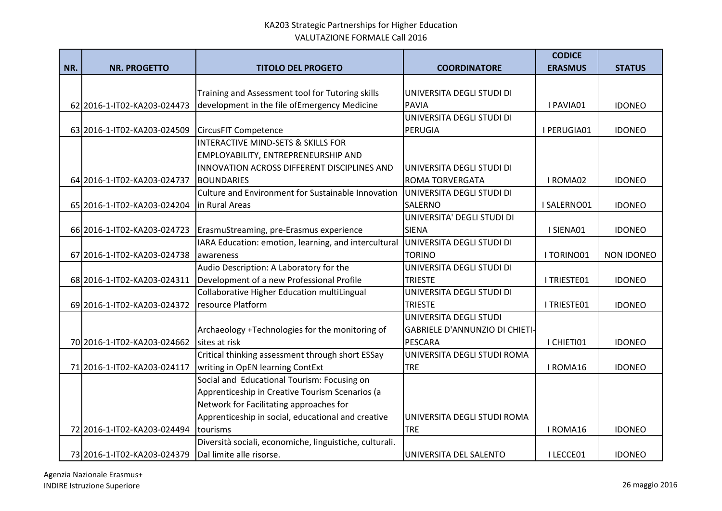|     |                             |                                                         |                                       | <b>CODICE</b>  |                   |
|-----|-----------------------------|---------------------------------------------------------|---------------------------------------|----------------|-------------------|
| NR. | <b>NR. PROGETTO</b>         | <b>TITOLO DEL PROGETO</b>                               | <b>COORDINATORE</b>                   | <b>ERASMUS</b> | <b>STATUS</b>     |
|     |                             |                                                         |                                       |                |                   |
|     |                             | Training and Assessment tool for Tutoring skills        | UNIVERSITA DEGLI STUDI DI             |                |                   |
|     | 62 2016-1-IT02-KA203-024473 | development in the file ofEmergency Medicine            | <b>PAVIA</b>                          | I PAVIA01      | <b>IDONEO</b>     |
|     |                             |                                                         | UNIVERSITA DEGLI STUDI DI             |                |                   |
|     | 63 2016-1-IT02-KA203-024509 | <b>CircusFIT Competence</b>                             | PERUGIA                               | I PERUGIA01    | <b>IDONEO</b>     |
|     |                             | INTERACTIVE MIND-SETS & SKILLS FOR                      |                                       |                |                   |
|     |                             | EMPLOYABILITY, ENTREPRENEURSHIP AND                     |                                       |                |                   |
|     |                             | INNOVATION ACROSS DIFFERENT DISCIPLINES AND             | UNIVERSITA DEGLI STUDI DI             |                |                   |
|     | 64 2016-1-IT02-KA203-024737 | <b>BOUNDARIES</b>                                       | <b>ROMA TORVERGATA</b>                | I ROMA02       | <b>IDONEO</b>     |
|     |                             | Culture and Environment for Sustainable Innovation      | UNIVERSITA DEGLI STUDI DI             |                |                   |
|     | 65 2016-1-IT02-KA203-024204 | in Rural Areas                                          | <b>SALERNO</b>                        | I SALERNO01    | <b>IDONEO</b>     |
|     |                             |                                                         | UNIVERSITA' DEGLI STUDI DI            |                |                   |
|     | 66 2016-1-IT02-KA203-024723 | ErasmuStreaming, pre-Erasmus experience                 | <b>SIENA</b>                          | I SIENA01      | <b>IDONEO</b>     |
|     |                             | IARA Education: emotion, learning, and intercultural    | UNIVERSITA DEGLI STUDI DI             |                |                   |
|     | 67 2016-1-IT02-KA203-024738 | awareness                                               | <b>TORINO</b>                         | I TORINO01     | <b>NON IDONEO</b> |
|     |                             | Audio Description: A Laboratory for the                 | UNIVERSITA DEGLI STUDI DI             |                |                   |
|     | 68 2016-1-IT02-KA203-024311 | Development of a new Professional Profile               | <b>TRIESTE</b>                        | I TRIESTE01    | <b>IDONEO</b>     |
|     |                             | Collaborative Higher Education multiLingual             | UNIVERSITA DEGLI STUDI DI             |                |                   |
|     | 69 2016-1-IT02-KA203-024372 | resource Platform                                       | <b>TRIESTE</b>                        | I TRIESTE01    | <b>IDONEO</b>     |
|     |                             |                                                         | UNIVERSITA DEGLI STUDI                |                |                   |
|     |                             | Archaeology +Technologies for the monitoring of         | <b>GABRIELE D'ANNUNZIO DI CHIETI-</b> |                |                   |
|     | 70 2016-1-IT02-KA203-024662 | sites at risk                                           | <b>PESCARA</b>                        | I CHIETI01     | <b>IDONEO</b>     |
|     |                             | Critical thinking assessment through short ESSay        | UNIVERSITA DEGLI STUDI ROMA           |                |                   |
|     | 71 2016-1-IT02-KA203-024117 | writing in OpEN learning ContExt                        | <b>TRE</b>                            | I ROMA16       | <b>IDONEO</b>     |
|     |                             | Social and Educational Tourism: Focusing on             |                                       |                |                   |
|     |                             | Apprenticeship in Creative Tourism Scenarios (a         |                                       |                |                   |
|     |                             | Network for Facilitating approaches for                 |                                       |                |                   |
|     |                             | Apprenticeship in social, educational and creative      | UNIVERSITA DEGLI STUDI ROMA           |                |                   |
|     | 72 2016-1-IT02-KA203-024494 | tourisms                                                | <b>TRE</b>                            | I ROMA16       | <b>IDONEO</b>     |
|     |                             | Diversità sociali, economiche, linguistiche, culturali. |                                       |                |                   |
|     | 73 2016-1-IT02-KA203-024379 | Dal limite alle risorse.                                | UNIVERSITA DEL SALENTO                | I LECCE01      | <b>IDONEO</b>     |